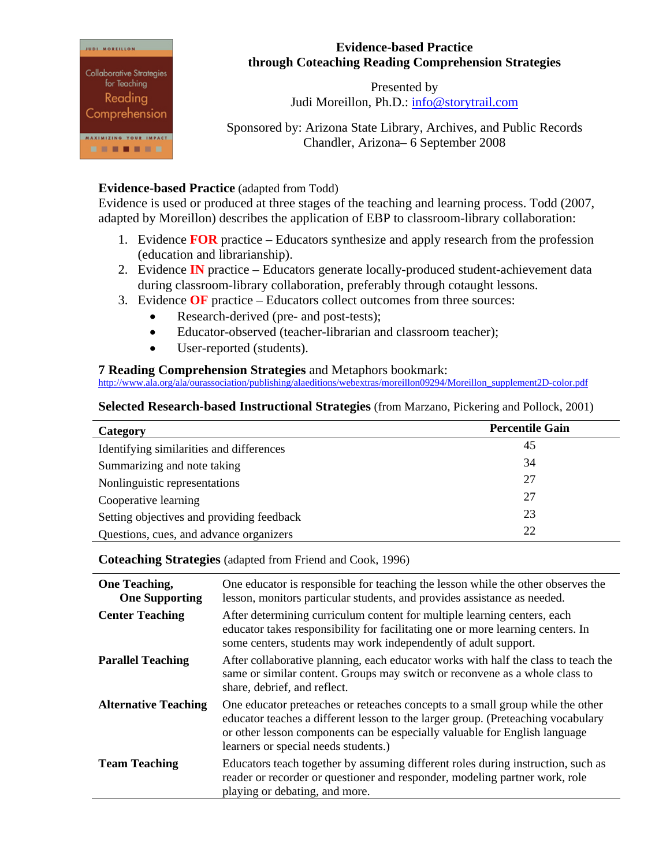

## **Evidence-based Practice through Coteaching Reading Comprehension Strategies**

Presented by Judi Moreillon, Ph.D.: [info@storytrail.com](mailto:info@storytrail.com)

Sponsored by: Arizona State Library, Archives, and Public Records Chandler, Arizona– 6 September 2008

## **Evidence-based Practice** (adapted from Todd)

Evidence is used or produced at three stages of the teaching and learning process. Todd (2007, adapted by Moreillon) describes the application of EBP to classroom-library collaboration:

- 1. Evidence **FOR** practice Educators synthesize and apply research from the profession (education and librarianship).
- 2. Evidence **IN** practice Educators generate locally-produced student-achievement data during classroom-library collaboration, preferably through cotaught lessons.
- 3. Evidence **OF** practice Educators collect outcomes from three sources:
	- Research-derived (pre- and post-tests);
	- Educator-observed (teacher-librarian and classroom teacher);
	- User-reported (students).

**7 Reading Comprehension Strategies** and Metaphors bookmark:

[http://www.ala.org/ala/ourassociation/publishing/alaeditions/webextras/moreillon09294/Moreillon\\_supplement2D-color.pdf](http://www.ala.org/ala/ourassociation/publishing/alaeditions/webextras/moreillon09294/Moreillon_supplement2D-color.pdf)

## **Selected Research-based Instructional Strategies** (from Marzano, Pickering and Pollock, 2001)

| Category                                        | <b>Percentile Gain</b> |
|-------------------------------------------------|------------------------|
| Identifying similarities and differences        | 45                     |
| Summarizing and note taking                     | 34                     |
| Nonlinguistic representations                   | 27                     |
| Cooperative learning                            | 27                     |
| 23<br>Setting objectives and providing feedback |                        |
| Questions, cues, and advance organizers         | 22                     |

**Coteaching Strategies** (adapted from Friend and Cook, 1996)

| <b>One Teaching,</b><br><b>One Supporting</b> | One educator is responsible for teaching the lesson while the other observes the<br>lesson, monitors particular students, and provides assistance as needed.                                                                                                                             |
|-----------------------------------------------|------------------------------------------------------------------------------------------------------------------------------------------------------------------------------------------------------------------------------------------------------------------------------------------|
| <b>Center Teaching</b>                        | After determining curriculum content for multiple learning centers, each<br>educator takes responsibility for facilitating one or more learning centers. In<br>some centers, students may work independently of adult support.                                                           |
| <b>Parallel Teaching</b>                      | After collaborative planning, each educator works with half the class to teach the<br>same or similar content. Groups may switch or reconvene as a whole class to<br>share, debrief, and reflect.                                                                                        |
| <b>Alternative Teaching</b>                   | One educator preteaches or reteaches concepts to a small group while the other<br>educator teaches a different lesson to the larger group. (Preteaching vocabulary<br>or other lesson components can be especially valuable for English language<br>learners or special needs students.) |
| <b>Team Teaching</b>                          | Educators teach together by assuming different roles during instruction, such as<br>reader or recorder or questioner and responder, modeling partner work, role<br>playing or debating, and more.                                                                                        |